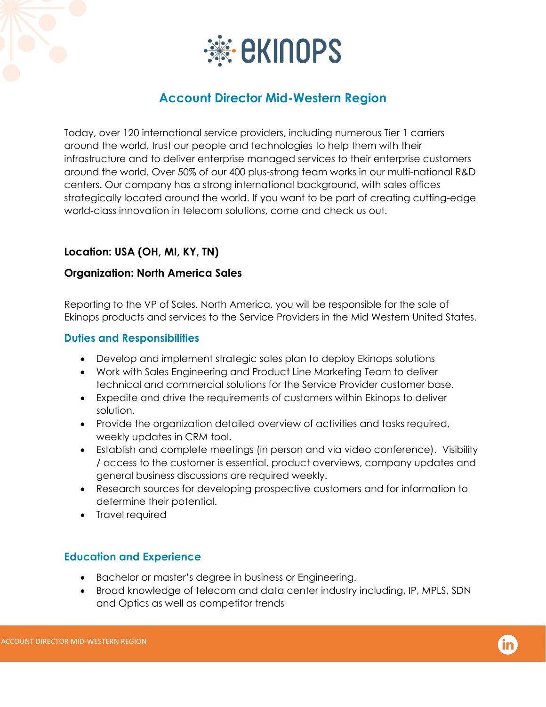

# **Account Director Mid-Western Region**

Today, over 120 international service providers, including numerous Tier 1 carriers around the world, trust our people and technologies to help them with their infrastructure and to deliver enterprise managed services to their enterprise customers around the world. Over 50% of our 400 plus-strong team works in our multi-national R&D centers. Our company has a strong international background, with sales offices strategically located around the world. If you want to be part of creating cutting-edge world-class innovation in telecom solutions, come and check us out.

## **Location: USA (OH, MI, KY, TN)**

#### **Organization: North America Sales**

Reporting to the VP of Sales, North America, you will be responsible for the sale of Ekinops products and services to the Service Providers in the Mid Western United States.

#### **Duties and Responsibilities**

- Develop and implement strategic sales plan to deploy Ekinops solutions
- Work with Sales Engineering and Product Line Marketing Team to deliver technical and commercial solutions for the Service Provider customer base.
- Expedite and drive the requirements of customers within Ekinops to deliver solution.
- Provide the organization detailed overview of activities and tasks required, weekly updates in CRM tool.
- Establish and complete meetings (in person and via video conference). Visibility / access to the customer is essential, product overviews, company updates and general business discussions are required weekly.
- Research sources for developing prospective customers and for information to determine their potential.
- Travel required

### **Education and Experience**

- Bachelor or master's degree in business or Engineering.
- Broad knowledge of telecom and data center industry including, IP, MPLS, SDN and Optics as well as competitor trends